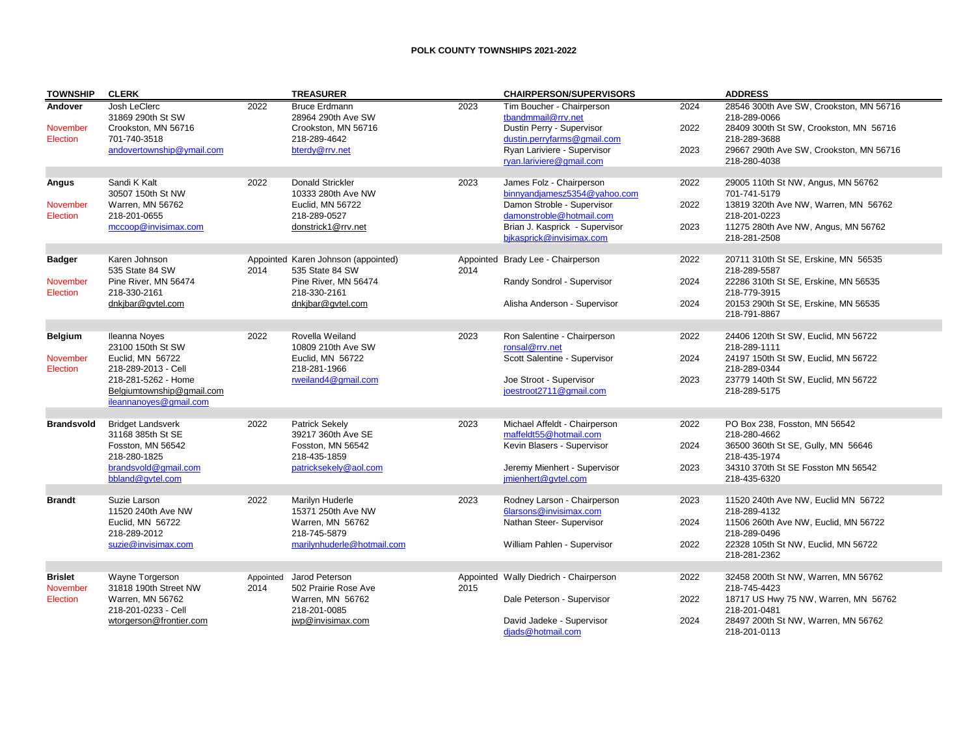## **POLK COUNTY TOWNSHIPS 2021-2022**

| <b>TOWNSHIP</b>            | <b>CLERK</b>                                                               |                   | <b>TREASURER</b>                                                  |      | <b>CHAIRPERSON/SUPERVISORS</b>                                                           |              | <b>ADDRESS</b>                                                                                    |
|----------------------------|----------------------------------------------------------------------------|-------------------|-------------------------------------------------------------------|------|------------------------------------------------------------------------------------------|--------------|---------------------------------------------------------------------------------------------------|
| Andover<br>November        | Josh LeClerc<br>31869 290th St SW<br>Crookston, MN 56716                   | 2022              | <b>Bruce Erdmann</b><br>28964 290th Ave SW<br>Crookston, MN 56716 | 2023 | Tim Boucher - Chairperson<br>tbandmmail@rrv.net<br>Dustin Perry - Supervisor             | 2024<br>2022 | 28546 300th Ave SW, Crookston, MN 56716<br>218-289-0066<br>28409 300th St SW, Crookston, MN 56716 |
| Election                   | 701-740-3518<br>andovertownship@vmail.com                                  |                   | 218-289-4642<br>bterdy@rrv.net                                    |      | dustin.perryfarms@gmail.com<br>Ryan Lariviere - Supervisor<br>ryan.lariviere@gmail.com   | 2023         | 218-289-3688<br>29667 290th Ave SW, Crookston, MN 56716<br>218-280-4038                           |
| Angus                      | Sandi K Kalt<br>30507 150th St NW                                          | 2022              | <b>Donald Strickler</b><br>10333 280th Ave NW                     | 2023 | James Folz - Chairperson<br>binnyandjamesz5354@yahoo.com                                 | 2022         | 29005 110th St NW, Angus, MN 56762<br>701-741-5179                                                |
| November<br>Election       | Warren, MN 56762<br>218-201-0655<br>mccoop@invisimax.com                   |                   | Euclid. MN 56722<br>218-289-0527<br>donstrick1@rrv.net            |      | Damon Stroble - Supervisor<br>damonstroble@hotmail.com<br>Brian J. Kasprick - Supervisor | 2022<br>2023 | 13819 320th Ave NW, Warren, MN 56762<br>218-201-0223<br>11275 280th Ave NW, Angus, MN 56762       |
|                            |                                                                            |                   |                                                                   |      | bjkasprick@invisimax.com                                                                 |              | 218-281-2508                                                                                      |
| <b>Badger</b>              | Karen Johnson<br>535 State 84 SW                                           | 2014              | Appointed Karen Johnson (appointed)<br>535 State 84 SW            | 2014 | Appointed Brady Lee - Chairperson                                                        | 2022         | 20711 310th St SE, Erskine, MN 56535<br>218-289-5587                                              |
| November<br>Election       | Pine River, MN 56474<br>218-330-2161                                       |                   | Pine River, MN 56474<br>218-330-2161                              |      | Randy Sondrol - Supervisor                                                               | 2024         | 22286 310th St SE, Erskine, MN 56535<br>218-779-3915                                              |
|                            | dnkjbar@gvtel.com                                                          |                   | dnkjbar@gvtel.com                                                 |      | Alisha Anderson - Supervisor                                                             | 2024         | 20153 290th St SE, Erskine, MN 56535<br>218-791-8867                                              |
| <b>Belgium</b>             | <b>Ileanna Noves</b>                                                       | 2022              | Rovella Weiland                                                   | 2023 | Ron Salentine - Chairperson                                                              | 2022         | 24406 120th St SW, Euclid, MN 56722                                                               |
| November<br>Election       | 23100 150th St SW<br>Euclid, MN 56722<br>218-289-2013 - Cell               |                   | 10809 210th Ave SW<br>Euclid, MN 56722<br>218-281-1966            |      | ronsal@rrv.net<br>Scott Salentine - Supervisor                                           | 2024         | 218-289-1111<br>24197 150th St SW, Euclid, MN 56722<br>218-289-0344                               |
|                            | 218-281-5262 - Home<br>Belgiumtownship@gmail.com<br>ileannanoyes@gmail.com |                   | rweiland4@gmail.com                                               |      | Joe Stroot - Supervisor<br>ioestroot2711@gmail.com                                       | 2023         | 23779 140th St SW, Euclid, MN 56722<br>218-289-5175                                               |
| <b>Brandsvold</b>          | <b>Bridget Landsverk</b><br>31168 385th St SE                              | 2022              | <b>Patrick Sekely</b><br>39217 360th Ave SE                       | 2023 | Michael Affeldt - Chairperson<br>maffeldt55@hotmail.com                                  | 2022         | PO Box 238, Fosston, MN 56542<br>218-280-4662                                                     |
|                            | Fosston, MN 56542<br>218-280-1825                                          |                   | Fosston, MN 56542<br>218-435-1859                                 |      | Kevin Blasers - Supervisor                                                               | 2024         | 36500 360th St SE, Gully, MN 56646<br>218-435-1974                                                |
|                            | brandsvold@qmail.com<br>bbland@qvtel.com                                   |                   | patricksekely@aol.com                                             |      | Jeremy Mienhert - Supervisor<br>imienhert@qvtel.com                                      | 2023         | 34310 370th St SE Fosston MN 56542<br>218-435-6320                                                |
| <b>Brandt</b>              | Suzie Larson                                                               | 2022              | Marilyn Huderle                                                   | 2023 | Rodney Larson - Chairperson                                                              | 2023         | 11520 240th Ave NW, Euclid MN 56722                                                               |
|                            | 11520 240th Ave NW                                                         |                   | 15371 250th Ave NW                                                |      | 6larsons@invisimax.com                                                                   |              | 218-289-4132                                                                                      |
|                            | Euclid, MN 56722<br>218-289-2012                                           |                   | Warren, MN 56762<br>218-745-5879                                  |      | Nathan Steer- Supervisor                                                                 | 2024         | 11506 260th Ave NW, Euclid, MN 56722<br>218-289-0496                                              |
|                            | suzie@invisimax.com                                                        |                   | marilynhuderle@hotmail.com                                        |      | William Pahlen - Supervisor                                                              | 2022         | 22328 105th St NW, Euclid, MN 56722<br>218-281-2362                                               |
| <b>Brislet</b><br>November | Wayne Torgerson<br>31818 190th Street NW                                   | Appointed<br>2014 | Jarod Peterson<br>502 Prairie Rose Ave                            | 2015 | Appointed Wally Diedrich - Chairperson                                                   | 2022         | 32458 200th St NW, Warren, MN 56762<br>218-745-4423                                               |
| Election                   | Warren, MN 56762<br>218-201-0233 - Cell                                    |                   | Warren, MN 56762<br>218-201-0085                                  |      | Dale Peterson - Supervisor                                                               | 2022         | 18717 US Hwy 75 NW, Warren, MN 56762<br>218-201-0481                                              |
|                            | wtorgerson@frontier.com                                                    |                   | jwp@invisimax.com                                                 |      | David Jadeke - Supervisor<br>diads@hotmail.com                                           | 2024         | 28497 200th St NW, Warren, MN 56762<br>218-201-0113                                               |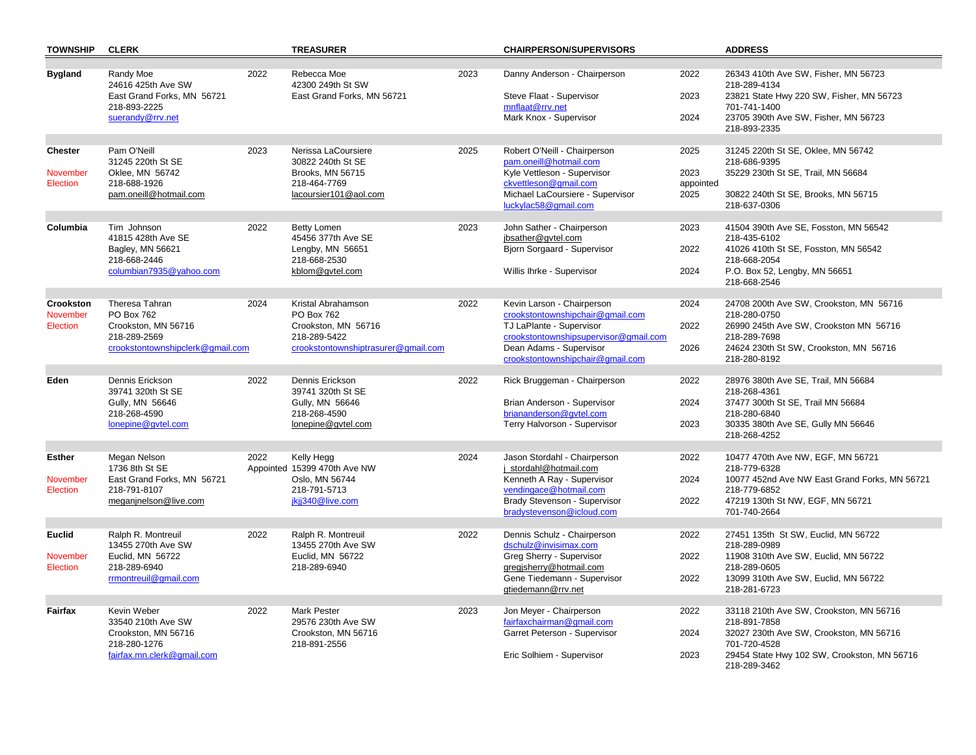| <b>TOWNSHIP</b>           | <b>CLERK</b>                                                                                      |      | <b>TREASURER</b>                                                           |      | <b>CHAIRPERSON/SUPERVISORS</b>                                                                                                   |                           | <b>ADDRESS</b>                                                                                                                                                           |
|---------------------------|---------------------------------------------------------------------------------------------------|------|----------------------------------------------------------------------------|------|----------------------------------------------------------------------------------------------------------------------------------|---------------------------|--------------------------------------------------------------------------------------------------------------------------------------------------------------------------|
| <b>Bygland</b>            | Randy Moe<br>24616 425th Ave SW<br>East Grand Forks, MN 56721<br>218-893-2225<br>suerandy@rrv.net | 2022 | Rebecca Moe<br>42300 249th St SW<br>East Grand Forks, MN 56721             | 2023 | Danny Anderson - Chairperson<br>Steve Flaat - Supervisor<br>mnflaat@rrv.net<br>Mark Knox - Supervisor                            | 2022<br>2023<br>2024      | 26343 410th Ave SW, Fisher, MN 56723<br>218-289-4134<br>23821 State Hwy 220 SW, Fisher, MN 56723<br>701-741-1400<br>23705 390th Ave SW, Fisher, MN 56723<br>218-893-2335 |
| Chester                   | Pam O'Neill<br>31245 220th St SE                                                                  | 2023 | Nerissa LaCoursiere<br>30822 240th St SE                                   | 2025 | Robert O'Neill - Chairperson<br>pam.oneill@hotmail.com                                                                           | 2025                      | 31245 220th St SE, Oklee, MN 56742<br>218-686-9395                                                                                                                       |
| November<br>Election      | Oklee, MN 56742<br>218-688-1926<br>pam.oneill@hotmail.com                                         |      | Brooks, MN 56715<br>218-464-7769<br>lacoursier101@aol.com                  |      | Kyle Vettleson - Supervisor<br>ckvettleson@gmail.com<br>Michael LaCoursiere - Supervisor<br>luckylac58@gmail.com                 | 2023<br>appointed<br>2025 | 35229 230th St SE, Trail, MN 56684<br>30822 240th St SE, Brooks, MN 56715<br>218-637-0306                                                                                |
| Columbia                  | Tim Johnson<br>41815 428th Ave SE<br>Bagley, MN 56621                                             | 2022 | Betty Lomen<br>45456 377th Ave SE<br>Lengby, MN 56651                      | 2023 | John Sather - Chairperson<br>jbsather@qvtel.com<br>Bjorn Sorgaard - Supervisor                                                   | 2023<br>2022              | 41504 390th Ave SE, Fosston, MN 56542<br>218-435-6102<br>41026 410th St SE, Fosston, MN 56542                                                                            |
|                           | 218-668-2446<br>columbian7935@yahoo.com                                                           |      | 218-668-2530<br>kblom@gvtel.com                                            |      | Willis Ihrke - Supervisor                                                                                                        | 2024                      | 218-668-2054<br>P.O. Box 52, Lengby, MN 56651<br>218-668-2546                                                                                                            |
| Crookston<br>November     | Theresa Tahran<br>PO Box 762                                                                      | 2024 | Kristal Abrahamson<br>PO Box 762                                           | 2022 | Kevin Larson - Chairperson<br>crookstontownshipchair@gmail.com                                                                   | 2024                      | 24708 200th Ave SW, Crookston, MN 56716<br>218-280-0750                                                                                                                  |
| Election                  | Crookston, MN 56716<br>218-289-2569<br>crookstontownshipclerk@gmail.com                           |      | Crookston, MN 56716<br>218-289-5422<br>crookstontownshiptrasurer@gmail.com |      | TJ LaPlante - Supervisor<br>crookstontownshipsupervisor@gmail.com<br>Dean Adams - Supervisor<br>crookstontownshipchair@gmail.com | 2022<br>2026              | 26990 245th Ave SW, Crookston MN 56716<br>218-289-7698<br>24624 230th St SW, Crookston, MN 56716<br>218-280-8192                                                         |
| Eden                      | Dennis Erickson<br>39741 320th St SE                                                              | 2022 | Dennis Erickson<br>39741 320th St SE                                       | 2022 | Rick Bruggeman - Chairperson                                                                                                     | 2022                      | 28976 380th Ave SE, Trail, MN 56684<br>218-268-4361                                                                                                                      |
|                           | Gully, MN 56646<br>218-268-4590<br>lonepine@qvtel.com                                             |      | Gully, MN 56646<br>218-268-4590<br>lonepine@gvtel.com                      |      | Brian Anderson - Supervisor<br>briananderson@qvtel.com<br>Terry Halvorson - Supervisor                                           | 2024<br>2023              | 37477 300th St SE, Trail MN 56684<br>218-280-6840<br>30335 380th Ave SE, Gully MN 56646<br>218-268-4252                                                                  |
|                           |                                                                                                   |      |                                                                            |      |                                                                                                                                  |                           |                                                                                                                                                                          |
| <b>Esther</b><br>November | Megan Nelson<br>1736 8th St SE<br>East Grand Forks, MN 56721                                      | 2022 | Kelly Hegg<br>Appointed 15399 470th Ave NW<br>Oslo, MN 56744               | 2024 | Jason Stordahl - Chairperson<br>j stordahl@hotmail.com<br>Kenneth A Ray - Supervisor                                             | 2022<br>2024              | 10477 470th Ave NW, EGF, MN 56721<br>218-779-6328<br>10077 452nd Ave NW East Grand Forks, MN 56721                                                                       |
| Election                  | 218-791-8107<br>meganjnelson@live.com                                                             |      | 218-791-5713<br>jkjj340@live.com                                           |      | vendingace@hotmail.com<br>Brady Stevenson - Supervisor                                                                           | 2022                      | 218-779-6852<br>47219 130th St NW, EGF, MN 56721                                                                                                                         |
|                           |                                                                                                   |      |                                                                            |      | bradystevenson@icloud.com                                                                                                        |                           | 701-740-2664                                                                                                                                                             |
| <b>Euclid</b>             | Ralph R. Montreuil                                                                                | 2022 | Ralph R. Montreuil                                                         | 2022 | Dennis Schulz - Chairperson                                                                                                      | 2022                      | 27451 135th St SW, Euclid, MN 56722                                                                                                                                      |
|                           | 13455 270th Ave SW<br>Euclid, MN 56722                                                            |      | 13455 270th Ave SW<br>Euclid, MN 56722                                     |      | dschulz@invisimax.com<br>Greg Sherry - Supervisor                                                                                | 2022                      | 218-289-0989                                                                                                                                                             |
| November<br>Election      | 218-289-6940<br>rrmontreuil@gmail.com                                                             |      | 218-289-6940                                                               |      | gregisherry@hotmail.com<br>Gene Tiedemann - Supervisor                                                                           | 2022                      | 11908 310th Ave SW, Euclid, MN 56722<br>218-289-0605<br>13099 310th Ave SW, Euclid, MN 56722                                                                             |
|                           |                                                                                                   |      |                                                                            |      | gtiedemann@rrv.net                                                                                                               |                           | 218-281-6723                                                                                                                                                             |
| Fairfax                   | Kevin Weber<br>33540 210th Ave SW<br>Crookston, MN 56716                                          | 2022 | <b>Mark Pester</b><br>29576 230th Ave SW<br>Crookston, MN 56716            | 2023 | Jon Meyer - Chairperson<br>fairfaxchairman@gmail.com<br>Garret Peterson - Supervisor                                             | 2022<br>2024              | 33118 210th Ave SW, Crookston, MN 56716<br>218-891-7858<br>32027 230th Ave SW, Crookston, MN 56716                                                                       |
|                           | 218-280-1276<br>fairfax.mn.clerk@gmail.com                                                        |      | 218-891-2556                                                               |      | Eric Solhiem - Supervisor                                                                                                        | 2023                      | 701-720-4528<br>29454 State Hwy 102 SW, Crookston, MN 56716<br>218-289-3462                                                                                              |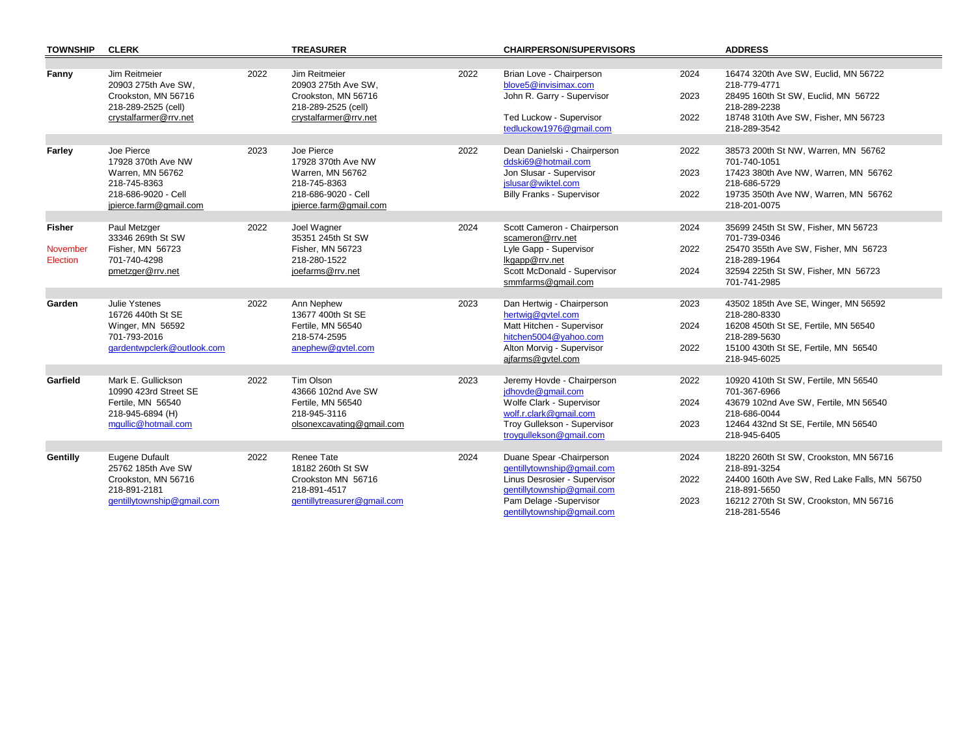| <b>TOWNSHIP</b> | <b>CLERK</b>                                  |      | <b>TREASURER</b>                              |      | <b>CHAIRPERSON/SUPERVISORS</b>                       |      | <b>ADDRESS</b>                                         |
|-----------------|-----------------------------------------------|------|-----------------------------------------------|------|------------------------------------------------------|------|--------------------------------------------------------|
|                 |                                               |      |                                               |      |                                                      |      |                                                        |
| Fanny           | Jim Reitmeier<br>20903 275th Ave SW,          | 2022 | Jim Reitmeier<br>20903 275th Ave SW,          | 2022 | Brian Love - Chairperson<br>blove5@invisimax.com     | 2024 | 16474 320th Ave SW, Euclid, MN 56722<br>218-779-4771   |
|                 | Crookston, MN 56716<br>218-289-2525 (cell)    |      | Crookston, MN 56716<br>218-289-2525 (cell)    |      | John R. Garry - Supervisor                           | 2023 | 28495 160th St SW, Euclid, MN 56722<br>218-289-2238    |
|                 | crystalfarmer@rrv.net                         |      | crystalfarmer@rrv.net                         |      | Ted Luckow - Supervisor<br>tedluckow1976@gmail.com   | 2022 | 18748 310th Ave SW, Fisher, MN 56723<br>218-289-3542   |
|                 |                                               |      |                                               |      |                                                      |      |                                                        |
| Farley          | Joe Pierce<br>17928 370th Ave NW              | 2023 | Joe Pierce<br>17928 370th Ave NW              | 2022 | Dean Danielski - Chairperson<br>ddski69@hotmail.com  | 2022 | 38573 200th St NW, Warren, MN 56762<br>701-740-1051    |
|                 | Warren, MN 56762<br>218-745-8363              |      | Warren, MN 56762<br>218-745-8363              |      | Jon Slusar - Supervisor<br>jslusar@wiktel.com        | 2023 | 17423 380th Ave NW, Warren, MN 56762<br>218-686-5729   |
|                 | 218-686-9020 - Cell<br>jpierce.farm@gmail.com |      | 218-686-9020 - Cell<br>jpierce.farm@gmail.com |      | <b>Billy Franks - Supervisor</b>                     | 2022 | 19735 350th Ave NW, Warren, MN 56762<br>218-201-0075   |
|                 |                                               |      |                                               |      |                                                      |      |                                                        |
| <b>Fisher</b>   | Paul Metzger<br>33346 269th St SW             | 2022 | Joel Wagner<br>35351 245th St SW              | 2024 | Scott Cameron - Chairperson<br>scameron@rrv.net      | 2024 | 35699 245th St SW, Fisher, MN 56723<br>701-739-0346    |
| November        | Fisher, MN 56723                              |      | Fisher, MN 56723                              |      | Lyle Gapp - Supervisor                               | 2022 | 25470 355th Ave SW, Fisher, MN 56723                   |
| Election        | 701-740-4298<br>pmetzger@rrv.net              |      | 218-280-1522<br>joefarms@rrv.net              |      | lkgapp@rrv.net<br>Scott McDonald - Supervisor        | 2024 | 218-289-1964<br>32594 225th St SW, Fisher, MN 56723    |
|                 |                                               |      |                                               |      | smmfarms@gmail.com                                   |      | 701-741-2985                                           |
|                 | Julie Ystenes                                 |      |                                               |      |                                                      |      |                                                        |
| Garden          | 16726 440th St SE                             | 2022 | Ann Nephew<br>13677 400th St SE               | 2023 | Dan Hertwig - Chairperson<br>hertwig@gvtel.com       | 2023 | 43502 185th Ave SE, Winger, MN 56592<br>218-280-8330   |
|                 | Winger, MN 56592<br>701-793-2016              |      | Fertile, MN 56540<br>218-574-2595             |      | Matt Hitchen - Supervisor<br>hitchen5004@yahoo.com   | 2024 | 16208 450th St SE, Fertile, MN 56540<br>218-289-5630   |
|                 | gardentwpclerk@outlook.com                    |      | anephew@qvtel.com                             |      | Alton Morvig - Supervisor                            | 2022 | 15100 430th St SE, Fertile, MN 56540                   |
|                 |                                               |      |                                               |      | ajfarms@qvtel.com                                    |      | 218-945-6025                                           |
| Garfield        | Mark E. Gullickson                            | 2022 | Tim Olson                                     | 2023 | Jeremy Hovde - Chairperson                           | 2022 | 10920 410th St SW, Fertile, MN 56540                   |
|                 | 10990 423rd Street SE                         |      | 43666 102nd Ave SW                            |      | jdhovde@gmail.com                                    |      | 701-367-6966                                           |
|                 | Fertile, MN 56540<br>218-945-6894 (H)         |      | Fertile, MN 56540<br>218-945-3116             |      | Wolfe Clark - Supervisor<br>wolf.r.clark@gmail.com   | 2024 | 43679 102nd Ave SW, Fertile, MN 56540<br>218-686-0044  |
|                 | mqullic@hotmail.com                           |      | olsonexcavating@gmail.com                     |      | Troy Gullekson - Supervisor                          | 2023 | 12464 432nd St SE, Fertile, MN 56540                   |
|                 |                                               |      |                                               |      | troygullekson@gmail.com                              |      | 218-945-6405                                           |
| <b>Gentilly</b> | Eugene Dufault                                | 2022 | Renee Tate                                    | 2024 | Duane Spear - Chairperson                            | 2024 | 18220 260th St SW, Crookston, MN 56716                 |
|                 | 25762 185th Ave SW                            |      | 18182 260th St SW                             |      | gentillytownship@gmail.com                           |      | 218-891-3254                                           |
|                 | Crookston, MN 56716                           |      | Crookston MN 56716                            |      | Linus Desrosier - Supervisor                         | 2022 | 24400 160th Ave SW, Red Lake Falls, MN 56750           |
|                 | 218-891-2181<br>gentillytownship@gmail.com    |      | 218-891-4517<br>gentillytreasurer@gmail.com   |      | gentillytownship@gmail.com<br>Pam Delage -Supervisor | 2023 | 218-891-5650<br>16212 270th St SW, Crookston, MN 56716 |
|                 |                                               |      |                                               |      | gentillytownship@gmail.com                           |      | 218-281-5546                                           |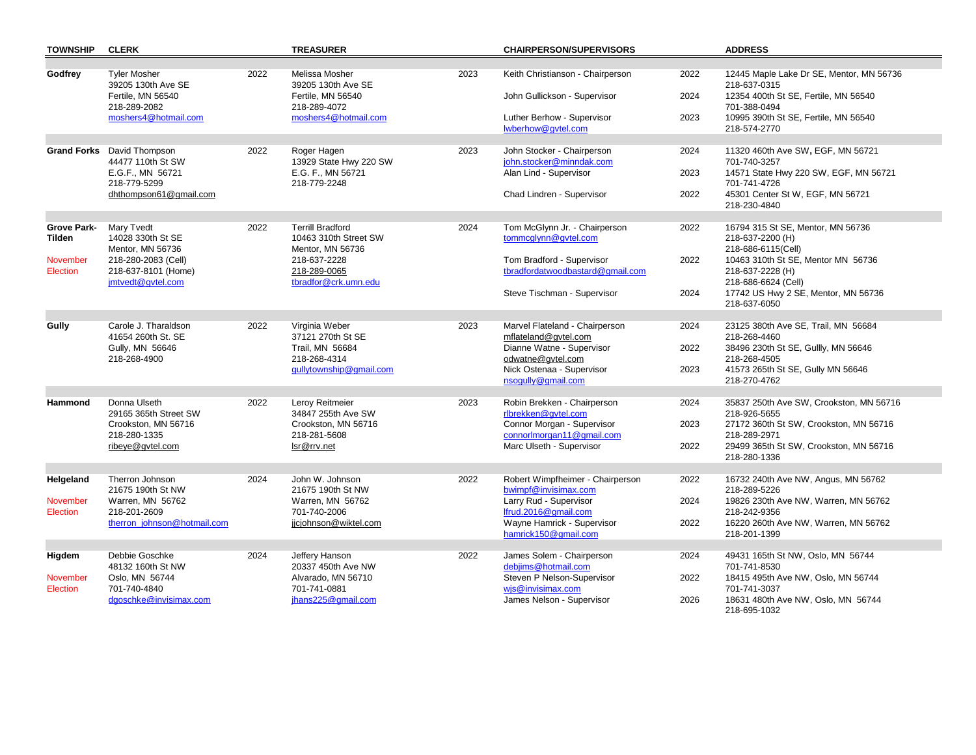| <b>TOWNSHIP</b>                                      | <b>CLERK</b>                                                                                                           |      | <b>TREASURER</b>                                                                                                             |      | <b>CHAIRPERSON/SUPERVISORS</b>                                                                                                                                   |                      | <b>ADDRESS</b>                                                                                                                                                                                                      |
|------------------------------------------------------|------------------------------------------------------------------------------------------------------------------------|------|------------------------------------------------------------------------------------------------------------------------------|------|------------------------------------------------------------------------------------------------------------------------------------------------------------------|----------------------|---------------------------------------------------------------------------------------------------------------------------------------------------------------------------------------------------------------------|
| Godfrey                                              | <b>Tyler Mosher</b><br>39205 130th Ave SE<br>Fertile, MN 56540<br>218-289-2082<br>moshers4@hotmail.com                 | 2022 | Melissa Mosher<br>39205 130th Ave SE<br>Fertile, MN 56540<br>218-289-4072<br>moshers4@hotmail.com                            | 2023 | Keith Christianson - Chairperson<br>John Gullickson - Supervisor<br>Luther Berhow - Supervisor<br>lwberhow@gvtel.com                                             | 2022<br>2024<br>2023 | 12445 Maple Lake Dr SE, Mentor, MN 56736<br>218-637-0315<br>12354 400th St SE, Fertile, MN 56540<br>701-388-0494<br>10995 390th St SE, Fertile, MN 56540<br>218-574-2770                                            |
|                                                      | <b>Grand Forks</b> David Thompson<br>44477 110th St SW<br>E.G.F., MN 56721<br>218-779-5299<br>dhthompson61@gmail.com   | 2022 | Roger Hagen<br>13929 State Hwy 220 SW<br>E.G. F., MN 56721<br>218-779-2248                                                   | 2023 | John Stocker - Chairperson<br>john.stocker@minndak.com<br>Alan Lind - Supervisor<br>Chad Lindren - Supervisor                                                    | 2024<br>2023<br>2022 | 11320 460th Ave SW, EGF, MN 56721<br>701-740-3257<br>14571 State Hwy 220 SW, EGF, MN 56721<br>701-741-4726<br>45301 Center St W, EGF, MN 56721<br>218-230-4840                                                      |
| Grove Park-<br><b>Tilden</b><br>November<br>Election | Mary Tvedt<br>14028 330th St SE<br>Mentor, MN 56736<br>218-280-2083 (Cell)<br>218-637-8101 (Home)<br>jmtvedt@gvtel.com | 2022 | <b>Terrill Bradford</b><br>10463 310th Street SW<br>Mentor, MN 56736<br>218-637-2228<br>218-289-0065<br>tbradfor@crk.umn.edu | 2024 | Tom McGlynn Jr. - Chairperson<br>tommcglynn@gvtel.com<br>Tom Bradford - Supervisor<br>tbradfordatwoodbastard@gmail.com<br>Steve Tischman - Supervisor            | 2022<br>2022<br>2024 | 16794 315 St SE, Mentor, MN 56736<br>218-637-2200 (H)<br>218-686-6115(Cell)<br>10463 310th St SE, Mentor MN 56736<br>218-637-2228 (H)<br>218-686-6624 (Cell)<br>17742 US Hwy 2 SE, Mentor, MN 56736<br>218-637-6050 |
| Gully                                                | Carole J. Tharaldson<br>41654 260th St. SE<br>Gully, MN 56646<br>218-268-4900                                          | 2022 | Virginia Weber<br>37121 270th St SE<br>Trail, MN 56684<br>218-268-4314<br>gullytownship@gmail.com                            | 2023 | Marvel Flateland - Chairperson<br>mflateland@gvtel.com<br>Dianne Watne - Supervisor<br>odwatne@gvtel.com<br>Nick Ostenaa - Supervisor<br>nsogully@gmail.com      | 2024<br>2022<br>2023 | 23125 380th Ave SE, Trail, MN 56684<br>218-268-4460<br>38496 230th St SE, Gullly, MN 56646<br>218-268-4505<br>41573 265th St SE, Gully MN 56646<br>218-270-4762                                                     |
| <b>Hammond</b>                                       | Donna Ulseth<br>29165 365th Street SW<br>Crookston, MN 56716<br>218-280-1335<br>ribeye@gvtel.com                       | 2022 | Leroy Reitmeier<br>34847 255th Ave SW<br>Crookston, MN 56716<br>218-281-5608<br>lsr@rrv.net                                  | 2023 | Robin Brekken - Chairperson<br>rlbrekken@qvtel.com<br>Connor Morgan - Supervisor<br>connorlmorgan11@gmail.com<br>Marc Ulseth - Supervisor                        | 2024<br>2023<br>2022 | 35837 250th Ave SW, Crookston, MN 56716<br>218-926-5655<br>27172 360th St SW, Crookston, MN 56716<br>218-289-2971<br>29499 365th St SW, Crookston, MN 56716<br>218-280-1336                                         |
| Helgeland<br>November<br>Election                    | Therron Johnson<br>21675 190th St NW<br>Warren, MN 56762<br>218-201-2609<br>therron_johnson@hotmail.com                | 2024 | John W. Johnson<br>21675 190th St NW<br>Warren, MN 56762<br>701-740-2006<br>jjcjohnson@wiktel.com                            | 2022 | Robert Wimpfheimer - Chairperson<br>bwimpf@invisimax.com<br>Larry Rud - Supervisor<br>lfrud.2016@gmail.com<br>Wayne Hamrick - Supervisor<br>hamrick150@gmail.com | 2022<br>2024<br>2022 | 16732 240th Ave NW, Angus, MN 56762<br>218-289-5226<br>19826 230th Ave NW, Warren, MN 56762<br>218-242-9356<br>16220 260th Ave NW, Warren, MN 56762<br>218-201-1399                                                 |
| Higdem<br><b>November</b><br>Election                | Debbie Goschke<br>48132 160th St NW<br>Oslo, MN 56744<br>701-740-4840<br>dgoschke@invisimax.com                        | 2024 | Jeffery Hanson<br>20337 450th Ave NW<br>Alvarado, MN 56710<br>701-741-0881<br>jhans225@gmail.com                             | 2022 | James Solem - Chairperson<br>debiims@hotmail.com<br>Steven P Nelson-Supervisor<br>wis@invisimax.com<br>James Nelson - Supervisor                                 | 2024<br>2022<br>2026 | 49431 165th St NW, Oslo, MN 56744<br>701-741-8530<br>18415 495th Ave NW, Oslo, MN 56744<br>701-741-3037<br>18631 480th Ave NW, Oslo, MN 56744<br>218-695-1032                                                       |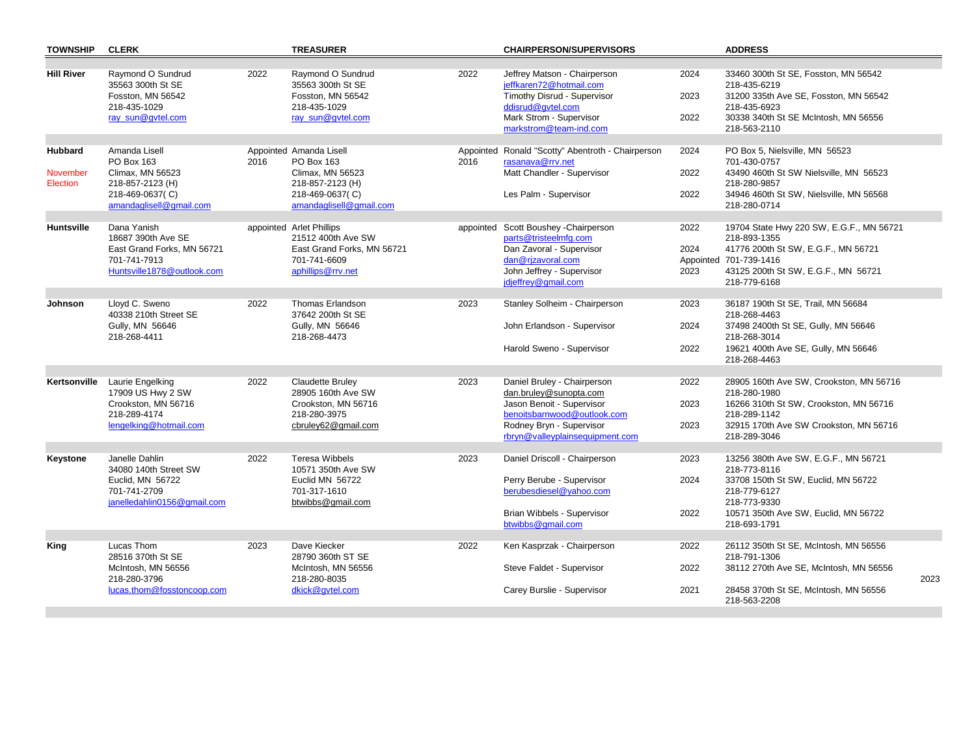| <b>TOWNSHIP</b>                        | <b>CLERK</b>                                                                                                      |      | <b>TREASURER</b>                                                                                                            |           | <b>CHAIRPERSON/SUPERVISORS</b>                                                                                                                                                   |                      | <b>ADDRESS</b>                                                                                                                                                                      |      |
|----------------------------------------|-------------------------------------------------------------------------------------------------------------------|------|-----------------------------------------------------------------------------------------------------------------------------|-----------|----------------------------------------------------------------------------------------------------------------------------------------------------------------------------------|----------------------|-------------------------------------------------------------------------------------------------------------------------------------------------------------------------------------|------|
| <b>Hill River</b>                      | Raymond O Sundrud<br>35563 300th St SE<br>Fosston, MN 56542<br>218-435-1029<br>ray sun@qvtel.com                  | 2022 | Raymond O Sundrud<br>35563 300th St SE<br>Fosston, MN 56542<br>218-435-1029<br>ray sun@qvtel.com                            | 2022      | Jeffrey Matson - Chairperson<br>ieffkaren72@hotmail.com<br>Timothy Disrud - Supervisor<br>ddisrud@qvtel.com<br>Mark Strom - Supervisor<br>markstrom@team-ind.com                 | 2024<br>2023<br>2022 | 33460 300th St SE, Fosston, MN 56542<br>218-435-6219<br>31200 335th Ave SE, Fosston, MN 56542<br>218-435-6923<br>30338 340th St SE McIntosh, MN 56556<br>218-563-2110               |      |
| <b>Hubbard</b><br>November<br>Election | Amanda Lisell<br>PO Box 163<br>Climax, MN 56523<br>218-857-2123 (H)<br>218-469-0637(C)<br>amandaglisell@gmail.com | 2016 | Appointed Amanda Lisell<br>PO Box 163<br>Climax, MN 56523<br>218-857-2123 (H)<br>218-469-0637(C)<br>amandaglisell@gmail.com | 2016      | Appointed Ronald "Scotty" Abentroth - Chairperson<br>rasanava@rrv.net<br>Matt Chandler - Supervisor<br>Les Palm - Supervisor                                                     | 2024<br>2022<br>2022 | PO Box 5, Nielsville, MN 56523<br>701-430-0757<br>43490 460th St SW Nielsville, MN 56523<br>218-280-9857<br>34946 460th St SW, Nielsville, MN 56568<br>218-280-0714                 |      |
| Huntsville                             | Dana Yanish<br>18687 390th Ave SE<br>East Grand Forks, MN 56721<br>701-741-7913<br>Huntsville1878@outlook.com     |      | appointed Arlet Phillips<br>21512 400th Ave SW<br>East Grand Forks, MN 56721<br>701-741-6609<br>aphillips@rrv.net           | appointed | Scott Boushey - Chairperson<br>parts@tristeelmfg.com<br>Dan Zavoral - Supervisor<br>dan@rjzavoral.com<br>John Jeffrey - Supervisor<br>jdjeffrey@gmail.com                        | 2022<br>2024<br>2023 | 19704 State Hwy 220 SW, E.G.F., MN 56721<br>218-893-1355<br>41776 200th St SW, E.G.F., MN 56721<br>Appointed 701-739-1416<br>43125 200th St SW, E.G.F., MN 56721<br>218-779-6168    |      |
| Johnson                                | Lloyd C. Sweno<br>40338 210th Street SE<br>Gully, MN 56646<br>218-268-4411                                        | 2022 | <b>Thomas Erlandson</b><br>37642 200th St SE<br>Gully, MN 56646<br>218-268-4473                                             | 2023      | Stanley Solheim - Chairperson<br>John Erlandson - Supervisor<br>Harold Sweno - Supervisor                                                                                        | 2023<br>2024<br>2022 | 36187 190th St SE, Trail, MN 56684<br>218-268-4463<br>37498 2400th St SE, Gully, MN 56646<br>218-268-3014<br>19621 400th Ave SE, Gully, MN 56646<br>218-268-4463                    |      |
| Kertsonville                           | Laurie Engelking<br>17909 US Hwy 2 SW<br>Crookston, MN 56716<br>218-289-4174<br>lengelking@hotmail.com            | 2022 | Claudette Bruley<br>28905 160th Ave SW<br>Crookston, MN 56716<br>218-280-3975<br>cbruley62@gmail.com                        | 2023      | Daniel Bruley - Chairperson<br>dan.bruley@sunopta.com<br>Jason Benoit - Supervisor<br>benoitsbarnwood@outlook.com<br>Rodney Bryn - Supervisor<br>rbryn@valleyplainsequipment.com | 2022<br>2023<br>2023 | 28905 160th Ave SW, Crookston, MN 56716<br>218-280-1980<br>16266 310th St SW, Crookston, MN 56716<br>218-289-1142<br>32915 170th Ave SW Crookston, MN 56716<br>218-289-3046         |      |
| Keystone                               | Janelle Dahlin<br>34080 140th Street SW<br>Euclid, MN 56722<br>701-741-2709<br>janelledahlin0156@gmail.com        | 2022 | <b>Teresa Wibbels</b><br>10571 350th Ave SW<br>Euclid MN 56722<br>701-317-1610<br>btwibbs@gmail.com                         | 2023      | Daniel Driscoll - Chairperson<br>Perry Berube - Supervisor<br>berubesdiesel@yahoo.com<br>Brian Wibbels - Supervisor<br>btwibbs@gmail.com                                         | 2023<br>2024<br>2022 | 13256 380th Ave SW, E.G.F., MN 56721<br>218-773-8116<br>33708 150th St SW, Euclid, MN 56722<br>218-779-6127<br>218-773-9330<br>10571 350th Ave SW, Euclid, MN 56722<br>218-693-1791 |      |
| King                                   | Lucas Thom<br>28516 370th St SE<br>McIntosh, MN 56556<br>218-280-3796<br>lucas.thom@fosstoncoop.com               | 2023 | Dave Kiecker<br>28790 360th ST SE<br>McIntosh, MN 56556<br>218-280-8035<br>dkick@qvtel.com                                  | 2022      | Ken Kasprzak - Chairperson<br>Steve Faldet - Supervisor<br>Carey Burslie - Supervisor                                                                                            | 2022<br>2022<br>2021 | 26112 350th St SE, McIntosh, MN 56556<br>218-791-1306<br>38112 270th Ave SE, McIntosh, MN 56556<br>28458 370th St SE, McIntosh, MN 56556<br>218-563-2208                            | 2023 |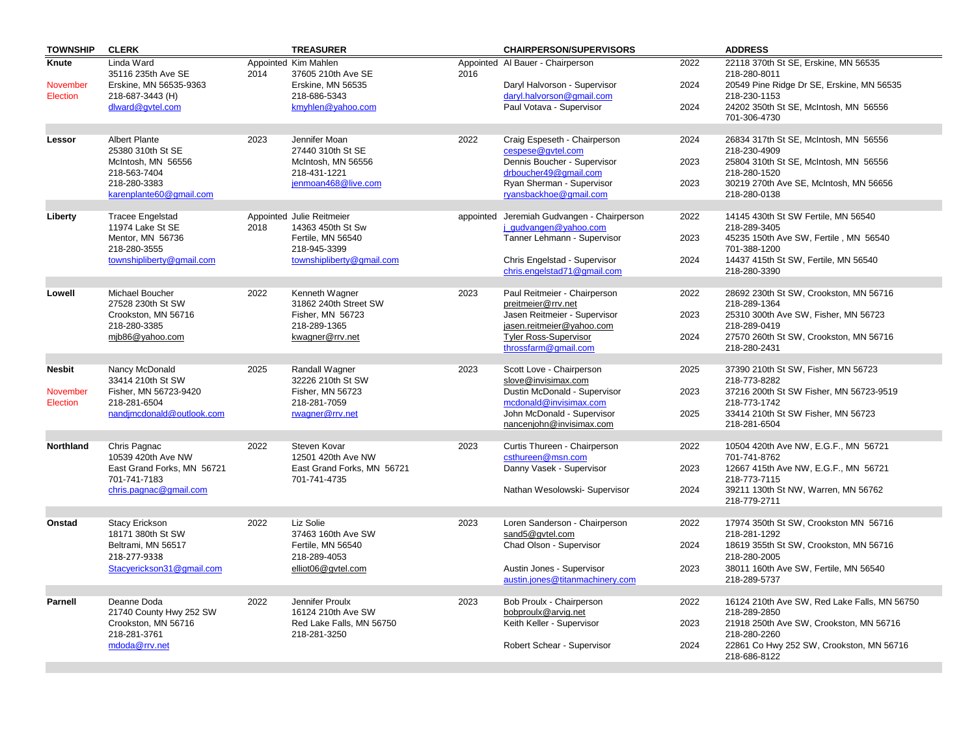| <b>TOWNSHIP</b>      | <b>CLERK</b>                                                     |      | <b>TREASURER</b>                                                 |      | <b>CHAIRPERSON/SUPERVISORS</b>                                      |      | <b>ADDRESS</b>                                                        |
|----------------------|------------------------------------------------------------------|------|------------------------------------------------------------------|------|---------------------------------------------------------------------|------|-----------------------------------------------------------------------|
| Knute                | Linda Ward<br>35116 235th Ave SE                                 | 2014 | Appointed Kim Mahlen<br>37605 210th Ave SE                       | 2016 | Appointed Al Bauer - Chairperson                                    | 2022 | 22118 370th St SE, Erskine, MN 56535<br>218-280-8011                  |
| November<br>Election | Erskine, MN 56535-9363<br>218-687-3443 (H)                       |      | Erskine, MN 56535<br>218-686-5343                                |      | Daryl Halvorson - Supervisor<br>daryl.halvorson@gmail.com           | 2024 | 20549 Pine Ridge Dr SE, Erskine, MN 56535<br>218-230-1153             |
|                      | dlward@gvtel.com                                                 |      | kmyhlen@yahoo.com                                                |      | Paul Votava - Supervisor                                            | 2024 | 24202 350th St SE, McIntosh, MN 56556<br>701-306-4730                 |
| Lessor               | <b>Albert Plante</b><br>25380 310th St SE                        | 2023 | Jennifer Moan<br>27440 310th St SE                               | 2022 | Craig Espeseth - Chairperson<br>cespese@qvtel.com                   | 2024 | 26834 317th St SE, McIntosh, MN 56556                                 |
|                      | McIntosh, MN 56556<br>218-563-7404                               |      | McIntosh, MN 56556<br>218-431-1221                               |      | Dennis Boucher - Supervisor<br>drboucher49@gmail.com                | 2023 | 218-230-4909<br>25804 310th St SE, McIntosh, MN 56556<br>218-280-1520 |
|                      | 218-280-3383<br>karenplante60@gmail.com                          |      | jenmoan468@live.com                                              |      | Ryan Sherman - Supervisor<br>ryansbackhoe@gmail.com                 | 2023 | 30219 270th Ave SE, McIntosh, MN 56656<br>218-280-0138                |
| Liberty              | <b>Tracee Engelstad</b><br>11974 Lake St SE                      | 2018 | Appointed Julie Reitmeier<br>14363 450th St Sw                   |      | appointed Jeremiah Gudvangen - Chairperson<br>i gudvangen@yahoo.com | 2022 | 14145 430th St SW Fertile, MN 56540<br>218-289-3405                   |
|                      | Mentor, MN 56736<br>218-280-3555                                 |      | Fertile, MN 56540<br>218-945-3399                                |      | Tanner Lehmann - Supervisor                                         | 2023 | 45235 150th Ave SW, Fertile, MN 56540<br>701-388-1200                 |
|                      | townshipliberty@gmail.com                                        |      | townshipliberty@gmail.com                                        |      | Chris Engelstad - Supervisor<br>chris.engelstad71@gmail.com         | 2024 | 14437 415th St SW, Fertile, MN 56540<br>218-280-3390                  |
|                      |                                                                  |      |                                                                  |      |                                                                     |      |                                                                       |
| Lowell               | Michael Boucher<br>27528 230th St SW                             | 2022 | Kenneth Wagner<br>31862 240th Street SW                          | 2023 | Paul Reitmeier - Chairperson<br>preitmeier@rrv.net                  | 2022 | 28692 230th St SW, Crookston, MN 56716<br>218-289-1364                |
|                      | Crookston, MN 56716<br>218-280-3385                              |      | Fisher, MN 56723<br>218-289-1365                                 |      | Jasen Reitmeier - Supervisor<br>jasen.reitmeier@yahoo.com           | 2023 | 25310 300th Ave SW, Fisher, MN 56723<br>218-289-0419                  |
|                      | mjb86@yahoo.com                                                  |      | kwagner@rrv.net                                                  |      | <b>Tyler Ross-Supervisor</b><br>throssfarm@gmail.com                | 2024 | 27570 260th St SW, Crookston, MN 56716<br>218-280-2431                |
| <b>Nesbit</b>        | Nancy McDonald                                                   | 2025 | Randall Wagner                                                   | 2023 | Scott Love - Chairperson                                            | 2025 | 37390 210th St SW, Fisher, MN 56723                                   |
|                      | 33414 210th St SW                                                |      | 32226 210th St SW                                                |      | slove@invisimax.com                                                 |      | 218-773-8282                                                          |
| November<br>Election | Fisher, MN 56723-9420<br>218-281-6504                            |      | Fisher, MN 56723<br>218-281-7059                                 |      | Dustin McDonald - Supervisor<br>mcdonald@invisimax.com              | 2023 | 37216 200th St SW Fisher, MN 56723-9519<br>218-773-1742               |
|                      | nandjmcdonald@outlook.com                                        |      | rwagner@rrv.net                                                  |      | John McDonald - Supervisor<br>nancenjohn@invisimax.com              | 2025 | 33414 210th St SW Fisher, MN 56723<br>218-281-6504                    |
| <b>Northland</b>     | Chris Pagnac                                                     | 2022 | Steven Kovar                                                     | 2023 | Curtis Thureen - Chairperson                                        | 2022 | 10504 420th Ave NW, E.G.F., MN 56721                                  |
|                      | 10539 420th Ave NW<br>East Grand Forks, MN 56721<br>701-741-7183 |      | 12501 420th Ave NW<br>East Grand Forks, MN 56721<br>701-741-4735 |      | csthureen@msn.com<br>Danny Vasek - Supervisor                       | 2023 | 701-741-8762<br>12667 415th Ave NW, E.G.F., MN 56721<br>218-773-7115  |
|                      | chris.pagnac@gmail.com                                           |      |                                                                  |      | Nathan Wesolowski- Supervisor                                       | 2024 | 39211 130th St NW, Warren, MN 56762<br>218-779-2711                   |
|                      |                                                                  |      |                                                                  |      |                                                                     |      |                                                                       |
| Onstad               | <b>Stacy Erickson</b><br>18171 380th St SW                       | 2022 | Liz Solie<br>37463 160th Ave SW                                  | 2023 | Loren Sanderson - Chairperson<br>sand5@qvtel.com                    | 2022 | 17974 350th St SW, Crookston MN 56716<br>218-281-1292                 |
|                      | Beltrami, MN 56517<br>218-277-9338                               |      | Fertile, MN 56540<br>218-289-4053                                |      | Chad Olson - Supervisor                                             | 2024 | 18619 355th St SW, Crookston, MN 56716<br>218-280-2005                |
|                      | Stacyerickson31@gmail.com                                        |      | elliot06@gvtel.com                                               |      | Austin Jones - Supervisor<br>austin.jones@titanmachinery.com        | 2023 | 38011 160th Ave SW, Fertile, MN 56540<br>218-289-5737                 |
|                      |                                                                  |      |                                                                  |      |                                                                     |      |                                                                       |
| <b>Parnell</b>       | Deanne Doda<br>21740 County Hwy 252 SW                           | 2022 | Jennifer Proulx<br>16124 210th Ave SW                            | 2023 | Bob Proulx - Chairperson<br>bobproulx@arvig.net                     | 2022 | 16124 210th Ave SW, Red Lake Falls, MN 56750<br>218-289-2850          |
|                      | Crookston, MN 56716<br>218-281-3761                              |      | Red Lake Falls, MN 56750<br>218-281-3250                         |      | Keith Keller - Supervisor                                           | 2023 | 21918 250th Ave SW, Crookston, MN 56716<br>218-280-2260               |
|                      | mdoda@rrv.net                                                    |      |                                                                  |      | Robert Schear - Supervisor                                          | 2024 | 22861 Co Hwy 252 SW, Crookston, MN 56716<br>218-686-8122              |
|                      |                                                                  |      |                                                                  |      |                                                                     |      |                                                                       |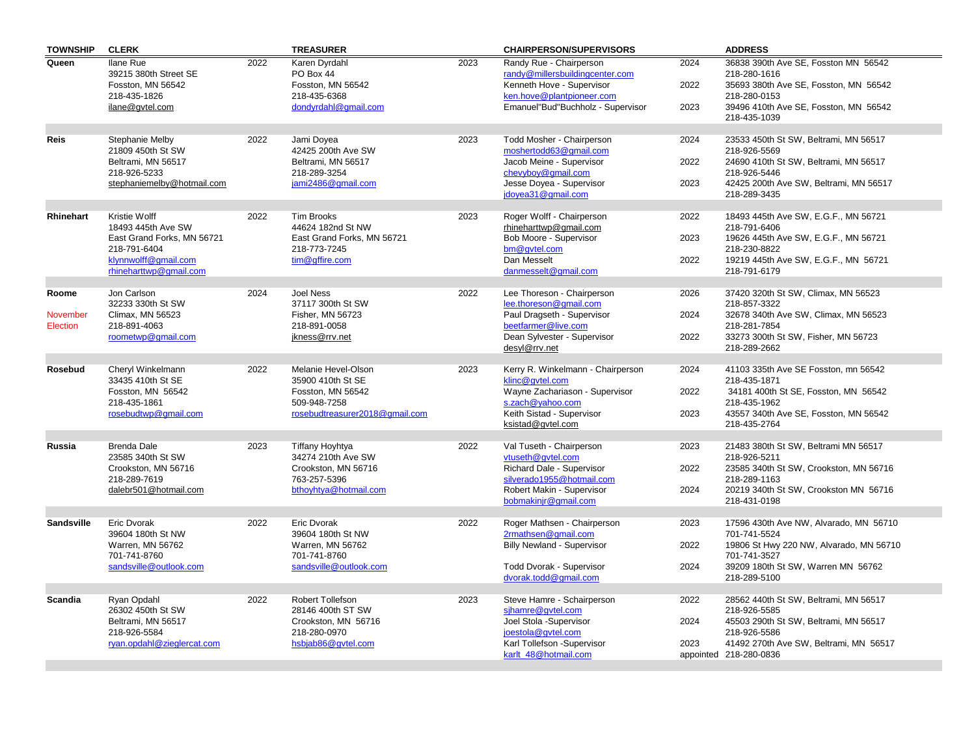| <b>TOWNSHIP</b>             | <b>CLERK</b>                                                                                              |      | <b>TREASURER</b>                                                                                |      | <b>CHAIRPERSON/SUPERVISORS</b>                                                                                       |                      | <b>ADDRESS</b>                                                                                                                                       |
|-----------------------------|-----------------------------------------------------------------------------------------------------------|------|-------------------------------------------------------------------------------------------------|------|----------------------------------------------------------------------------------------------------------------------|----------------------|------------------------------------------------------------------------------------------------------------------------------------------------------|
| Queen                       | <b>Ilane Rue</b><br>39215 380th Street SE<br>Fosston, MN 56542<br>218-435-1826                            | 2022 | Karen Dyrdahl<br>PO Box 44<br>Fosston, MN 56542<br>218-435-6368                                 | 2023 | Randy Rue - Chairperson<br>randy@millersbuildingcenter.com<br>Kenneth Hove - Supervisor<br>ken.hove@plantpioneer.com | 2024<br>2022         | 36838 390th Ave SE, Fosston MN 56542<br>218-280-1616<br>35693 380th Ave SE, Fosston, MN 56542<br>218-280-0153                                        |
|                             | ilane@gvtel.com                                                                                           |      | dondyrdahl@qmail.com                                                                            |      | Emanuel"Bud"Buchholz - Supervisor                                                                                    | 2023                 | 39496 410th Ave SE, Fosston, MN 56542<br>218-435-1039                                                                                                |
| <b>Reis</b>                 | Stephanie Melby<br>21809 450th St SW                                                                      | 2022 | Jami Doyea<br>42425 200th Ave SW                                                                | 2023 | Todd Mosher - Chairperson<br>moshertodd63@gmail.com                                                                  | 2024                 | 23533 450th St SW, Beltrami, MN 56517<br>218-926-5569                                                                                                |
|                             | Beltrami, MN 56517<br>218-926-5233<br>stephaniemelby@hotmail.com                                          |      | Beltrami, MN 56517<br>218-289-3254<br>jami2486@gmail.com                                        |      | Jacob Meine - Supervisor<br>chevyboy@gmail.com<br>Jesse Doyea - Supervisor                                           | 2022<br>2023         | 24690 410th St SW, Beltrami, MN 56517<br>218-926-5446<br>42425 200th Ave SW, Beltrami, MN 56517                                                      |
|                             |                                                                                                           |      |                                                                                                 |      | jdoyea31@gmail.com                                                                                                   |                      | 218-289-3435                                                                                                                                         |
| Rhinehart                   | Kristie Wolff<br>18493 445th Ave SW<br>East Grand Forks, MN 56721<br>218-791-6404<br>klynnwolff@gmail.com | 2022 | Tim Brooks<br>44624 182nd St NW<br>East Grand Forks, MN 56721<br>218-773-7245<br>tim@gffire.com | 2023 | Roger Wolff - Chairperson<br>rhineharttwp@gmail.com<br>Bob Moore - Supervisor<br>bm@qvtel.com<br>Dan Messelt         | 2022<br>2023<br>2022 | 18493 445th Ave SW, E.G.F., MN 56721<br>218-791-6406<br>19626 445th Ave SW, E.G.F., MN 56721<br>218-230-8822<br>19219 445th Ave SW, E.G.F., MN 56721 |
|                             | rhineharttwp@gmail.com                                                                                    |      |                                                                                                 |      | danmesselt@gmail.com                                                                                                 |                      | 218-791-6179                                                                                                                                         |
| Roome                       | Jon Carlson<br>32233 330th St SW                                                                          | 2024 | <b>Joel Ness</b><br>37117 300th St SW                                                           | 2022 | Lee Thoreson - Chairperson<br>lee.thoreson@gmail.com                                                                 | 2026                 | 37420 320th St SW, Climax, MN 56523<br>218-857-3322                                                                                                  |
| November<br><b>Election</b> | Climax, MN 56523<br>218-891-4063<br>roometwp@qmail.com                                                    |      | Fisher, MN 56723<br>218-891-0058<br>jkness@rrv.net                                              |      | Paul Dragseth - Supervisor<br>beetfarmer@live.com<br>Dean Sylvester - Supervisor                                     | 2024<br>2022         | 32678 340th Ave SW, Climax, MN 56523<br>218-281-7854<br>33273 300th St SW, Fisher, MN 56723                                                          |
|                             |                                                                                                           |      |                                                                                                 |      | desyl@rrv.net                                                                                                        |                      | 218-289-2662                                                                                                                                         |
| Rosebud                     | Cheryl Winkelmann<br>33435 410th St SE<br>Fosston, MN 56542                                               | 2022 | Melanie Hevel-Olson<br>35900 410th St SE<br>Fosston, MN 56542                                   | 2023 | Kerry R. Winkelmann - Chairperson<br>klinc@gvtel.com<br>Wayne Zachariason - Supervisor                               | 2024<br>2022         | 41103 335th Ave SE Fosston, mn 56542<br>218-435-1871<br>34181 400th St SE, Fosston, MN 56542                                                         |
|                             | 218-435-1861<br>rosebudtwp@gmail.com                                                                      |      | 509-948-7258<br>rosebudtreasurer2018@gmail.com                                                  |      | s.zach@yahoo.com<br>Keith Sistad - Supervisor                                                                        | 2023                 | 218-435-1962<br>43557 340th Ave SE, Fosston, MN 56542                                                                                                |
|                             |                                                                                                           |      |                                                                                                 |      | ksistad@gvtel.com                                                                                                    |                      | 218-435-2764                                                                                                                                         |
| Russia                      | <b>Brenda Dale</b><br>23585 340th St SW<br>Crookston, MN 56716                                            | 2023 | Tiffany Hoyhtya<br>34274 210th Ave SW<br>Crookston, MN 56716                                    | 2022 | Val Tuseth - Chairperson<br>vtuseth@qvtel.com<br>Richard Dale - Supervisor                                           | 2023<br>2022         | 21483 380th St SW, Beltrami MN 56517<br>218-926-5211<br>23585 340th St SW, Crookston, MN 56716                                                       |
|                             | 218-289-7619<br>dalebr501@hotmail.com                                                                     |      | 763-257-5396<br>bthoyhtya@hotmail.com                                                           |      | silverado1955@hotmail.com<br>Robert Makin - Supervisor                                                               | 2024                 | 218-289-1163<br>20219 340th St SW, Crookston MN 56716                                                                                                |
|                             |                                                                                                           |      |                                                                                                 |      | bobmakinjr@gmail.com                                                                                                 |                      | 218-431-0198                                                                                                                                         |
| <b>Sandsville</b>           | Eric Dvorak<br>39604 180th St NW                                                                          | 2022 | Eric Dvorak<br>39604 180th St NW                                                                | 2022 | Roger Mathsen - Chairperson<br>2rmathsen@gmail.com                                                                   | 2023                 | 17596 430th Ave NW, Alvarado, MN 56710<br>701-741-5524                                                                                               |
|                             | Warren, MN 56762<br>701-741-8760<br>sandsville@outlook.com                                                |      | Warren, MN 56762<br>701-741-8760<br>sandsville@outlook.com                                      |      | <b>Billy Newland - Supervisor</b><br>Todd Dvorak - Supervisor                                                        | 2022<br>2024         | 19806 St Hwy 220 NW, Alvarado, MN 56710<br>701-741-3527<br>39209 180th St SW, Warren MN 56762                                                        |
|                             |                                                                                                           |      |                                                                                                 |      | dvorak.todd@gmail.com                                                                                                |                      | 218-289-5100                                                                                                                                         |
| <b>Scandia</b>              | Ryan Opdahl<br>26302 450th St SW                                                                          | 2022 | Robert Tollefson<br>28146 400th ST SW                                                           | 2023 | Steve Hamre - Schairperson<br>sjhamre@qvtel.com                                                                      | 2022                 | 28562 440th St SW, Beltrami, MN 56517<br>218-926-5585                                                                                                |
|                             | Beltrami, MN 56517<br>218-926-5584<br>rvan.opdahl@zieglercat.com                                          |      | Crookston, MN 56716<br>218-280-0970<br>hsbiab86@gvtel.com                                       |      | Joel Stola - Supervisor<br>joestola@gvtel.com<br>Karl Tollefson -Supervisor                                          | 2024<br>2023         | 45503 290th St SW, Beltrami, MN 56517<br>218-926-5586<br>41492 270th Ave SW, Beltrami, MN 56517                                                      |
|                             |                                                                                                           |      |                                                                                                 |      | karlt 48@hotmail.com                                                                                                 |                      | appointed 218-280-0836                                                                                                                               |